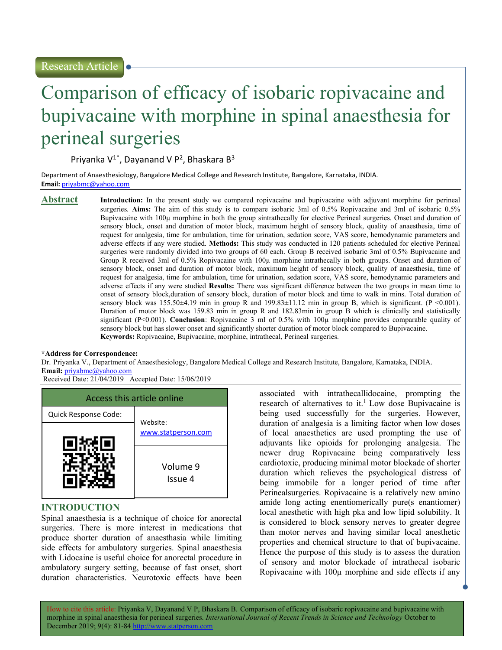# Comparison of efficacy of isobaric ropivacaine and bupivacaine with morphine in spinal anaesthesia for perineal surgeries

Priyanka V<sup>1\*</sup>, Dayanand V P<sup>2</sup>, Bhaskara B<sup>3</sup>

Department of Anaesthesiology, Bangalore Medical College and Research Institute, Bangalore, Karnataka, INDIA. Email: priyabmc@yahoo.com

Abstract Introduction: In the present study we compared ropivacaine and bupivacaine with adjuvant morphine for perineal surgeries. Aims: The aim of this study is to compare isobaric 3ml of 0.5% Ropivacaine and 3ml of isobaric 0.5% Bupivacaine with 100µ morphine in both the group sintrathecally for elective Perineal surgeries. Onset and duration of sensory block, onset and duration of motor block, maximum height of sensory block, quality of anaesthesia, time of request for analgesia, time for ambulation, time for urination, sedation score, VAS score, hemodynamic parameters and adverse effects if any were studied. Methods: This study was conducted in 120 patients scheduled for elective Perineal surgeries were randomly divided into two groups of 60 each. Group B received isobaric 3ml of 0.5% Bupivacaine and Group R received 3ml of 0.5% Ropivacaine with 100µ morphine intrathecally in both groups. Onset and duration of sensory block, onset and duration of motor block, maximum height of sensory block, quality of anaesthesia, time of request for analgesia, time for ambulation, time for urination, sedation score, VAS score, hemodynamic parameters and adverse effects if any were studied Results: There was significant difference between the two groups in mean time to onset of sensory block,duration of sensory block, duration of motor block and time to walk in mins. Total duration of sensory block was 155.50±4.19 min in group R and 199.83±11.12 min in group B, which is significant. (P <0.001). Duration of motor block was 159.83 min in group R and 182.83min in group B which is clinically and statistically significant (P<0.001). Conclusion: Ropivacaine 3 ml of 0.5% with 100µ morphine provides comparable quality of sensory block but has slower onset and significantly shorter duration of motor block compared to Bupivacaine. Keywords: Ropivacaine, Bupivacaine, morphine, intrathecal, Perineal surgeries.

#### \*Address for Correspondence:

Dr. Priyanka V., Department of Anaesthesiology, Bangalore Medical College and Research Institute, Bangalore, Karnataka, INDIA. Email: priyabmc@yahoo.com

Received Date: 21/04/2019 Accepted Date: 15/06/2019



### INTRODUCTION

Spinal anaesthesia is a technique of choice for anorectal surgeries. There is more interest in medications that produce shorter duration of anaesthasia while limiting side effects for ambulatory surgeries. Spinal anaesthesia with Lidocaine is useful choice for anorectal procedure in ambulatory surgery setting, because of fast onset, short duration characteristics. Neurotoxic effects have been

associated with intrathecallidocaine, prompting the research of alternatives to it.<sup>1</sup> Low dose Bupivacaine is being used successfully for the surgeries. However, duration of analgesia is a limiting factor when low doses of local anaesthetics are used prompting the use of adjuvants like opioids for prolonging analgesia. The newer drug Ropivacaine being comparatively less cardiotoxic, producing minimal motor blockade of shorter duration which relieves the psychological distress of being immobile for a longer period of time after Perinealsurgeries. Ropivacaine is a relatively new amino amide long acting enentiomerically pure(s enantiomer) local anesthetic with high pka and low lipid solubility. It is considered to block sensory nerves to greater degree than motor nerves and having similar local anesthetic properties and chemical structure to that of bupivacaine. Hence the purpose of this study is to assess the duration of sensory and motor blockade of intrathecal isobaric Ropivacaine with 100µ morphine and side effects if any

How to cite this article: Priyanka V, Dayanand V P, Bhaskara B. Comparison of efficacy of isobaric ropivacaine and bupivacaine with morphine in spinal anaesthesia for perineal surgeries. International Journal of Recent Trends in Science and Technology October to December 2019; 9(4): 81-84 http://www.statperson.com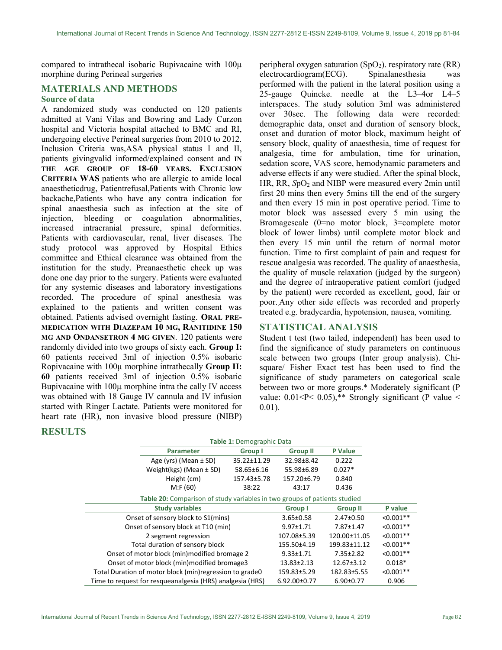compared to intrathecal isobaric Bupivacaine with 100µ morphine during Perineal surgeries

## MATERIALS AND METHODS

#### Source of data

A randomized study was conducted on 120 patients admitted at Vani Vilas and Bowring and Lady Curzon hospital and Victoria hospital attached to BMC and RI, undergoing elective Perineal surgeries from 2010 to 2012. Inclusion Criteria was,ASA physical status I and II, patients givingvalid informed/explained consent and IN THE AGE GROUP OF 18-60 YEARS. EXCLUSION CRITERIA WAS patients who are allergic to amide local anaestheticdrug, Patientrefusal,Patients with Chronic low backache,Patients who have any contra indication for spinal anaesthesia such as infection at the site of injection, bleeding or coagulation abnormalities, increased intracranial pressure, spinal deformities. Patients with cardiovascular, renal, liver diseases. The study protocol was approved by Hospital Ethics committee and Ethical clearance was obtained from the institution for the study. Preanaesthetic check up was done one day prior to the surgery. Patients were evaluated for any systemic diseases and laboratory investigations recorded. The procedure of spinal anesthesia was explained to the patients and written consent was obtained. Patients advised overnight fasting. ORAL PRE-MEDICATION WITH DIAZEPAM 10 MG, RANITIDINE 150 MG AND ONDANSETRON 4 MG GIVEN. 120 patients were randomly divided into two groups of sixty each. Group I: 60 patients received 3ml of injection 0.5% isobaric Ropivacaine with 100µ morphine intrathecally Group II: 60 patients received 3ml of injection 0.5% isobaric Bupivacaine with 100µ morphine intra the cally IV access was obtained with 18 Gauge IV cannula and IV infusion started with Ringer Lactate. Patients were monitored for heart rate (HR), non invasive blood pressure (NIBP)

peripheral oxygen saturation  $(SpO<sub>2</sub>)$ . respiratory rate  $(RR)$ electrocardiogram(ECG). Spinalanesthesia was performed with the patient in the lateral position using a 25-gauge Quincke. needle at the L3–4or L4–5 interspaces. The study solution 3ml was administered over 30sec. The following data were recorded: demographic data, onset and duration of sensory block, onset and duration of motor block, maximum height of sensory block, quality of anaesthesia, time of request for analgesia, time for ambulation, time for urination, sedation score, VAS score, hemodynamic parameters and adverse effects if any were studied. After the spinal block, HR, RR, SpO<sub>2</sub> and NIBP were measured every 2min until first 20 mins then every 5mins till the end of the surgery and then every 15 min in post operative period. Time to motor block was assessed every 5 min using the Bromagescale (0=no motor block, 3=complete motor block of lower limbs) until complete motor block and then every 15 min until the return of normal motor function. Time to first complaint of pain and request for rescue analgesia was recorded. The quality of anaesthesia, the quality of muscle relaxation (judged by the surgeon) and the degree of intraoperative patient comfort (judged by the patient) were recorded as excellent, good, fair or poor..Any other side effects was recorded and properly treated e.g. bradycardia, hypotension, nausea, vomiting.

### STATISTICAL ANALYSIS

Student t test (two tailed, independent) has been used to find the significance of study parameters on continuous scale between two groups (Inter group analysis). Chisquare/ Fisher Exact test has been used to find the significance of study parameters on categorical scale between two or more groups.\* Moderately significant (P value:  $0.01 < P < 0.05$ ,\*\* Strongly significant (P value < 0.01).

#### RESULTS

|                                                                           | Table 1: Demographic Data |             |                  |                  |             |
|---------------------------------------------------------------------------|---------------------------|-------------|------------------|------------------|-------------|
|                                                                           | <b>Parameter</b>          |             | <b>Group II</b>  | <b>P</b> Value   |             |
| Age (yrs) (Mean $\pm$ SD)                                                 |                           | 35.22±11.29 | 32.98±8.42       | 0.222            |             |
| Weight(kgs) (Mean $\pm$ SD)                                               |                           | 58.65±6.16  | 55.98±6.89       | $0.027*$         |             |
| Height (cm)                                                               |                           | 157.43±5.78 | 157.20±6.79      | 0.840            |             |
|                                                                           | M: F(60)                  | 38:22       | 43:17            | 0.436            |             |
| Table 20: Comparison of study variables in two groups of patients studied |                           |             |                  |                  |             |
| <b>Study variables</b>                                                    |                           | Group I     | <b>Group II</b>  | P value          |             |
| Onset of sensory block to S1(mins)                                        |                           |             | $3.65 \pm 0.58$  | 2.47±0.50        | $< 0.001**$ |
| Onset of sensory block at T10 (min)                                       |                           |             | 9.97±1.71        | 7.87±1.47        | $< 0.001**$ |
| 2 segment regression                                                      |                           |             | 107.08±5.39      | 120.00±11.05     | $< 0.001**$ |
| Total duration of sensory block                                           |                           |             | 155.50±4.19      | 199.83±11.12     | $< 0.001**$ |
| Onset of motor block (min) modified bromage 2                             |                           |             | $9.33 \pm 1.71$  | 7.35±2.82        | $< 0.001**$ |
| Onset of motor block (min)modified bromage3                               |                           |             | $13.83 \pm 2.13$ | $12.67 \pm 3.12$ | $0.018*$    |
| Total Duration of motor block (min) regression to grade0                  |                           |             | 159.83±5.29      | 182.83±5.55      | $< 0.001**$ |
| Time to request for resqueanalgesia (HRS) analgesia (HRS)                 |                           |             | 6.92.00±0.77     | $6.90 \pm 0.77$  | 0.906       |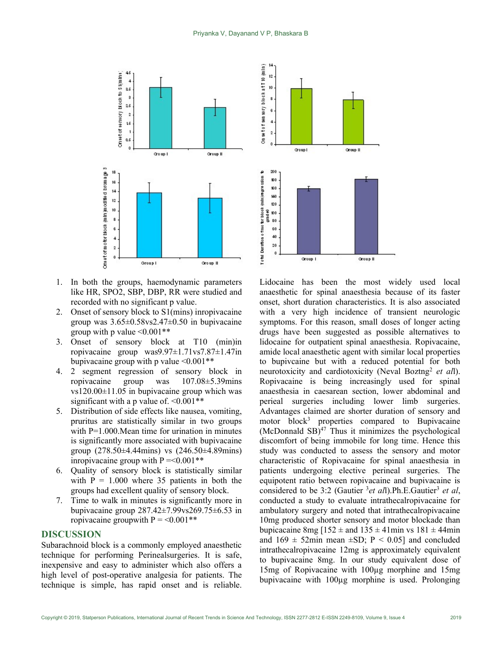

- 1. In both the groups, haemodynamic parameters like HR, SPO2, SBP, DBP, RR were studied and recorded with no significant p value.
- 2. Onset of sensory block to S1(mins) inropivacaine group was  $3.65\pm0.58$ vs $2.47\pm0.50$  in bupivacaine group with p value  $\leq 0.001**$
- 3. Onset of sensory block at T10 (min)in ropivacaine group was9.97±1.71vs7.87±1.47in bupivacaine group with p value  $\leq 0.001**$
- 4. 2 segment regression of sensory block in ropivacaine group was 107.08±5.39mins vs120.00±11.05 in bupivacaine group which was significant with a p value of.  $\leq 0.001**$
- 5. Distribution of side effects like nausea, vomiting, pruritus are statistically similar in two groups with P=1.000. Mean time for urination in minutes is significantly more associated with bupivacaine group (278.50±4.44mins) vs (246.50±4.89mins) inropivacaine group with  $P = 0.001**$
- 6. Quality of sensory block is statistically similar with  $P = 1.000$  where 35 patients in both the groups had excellent quality of sensory block.
- 7. Time to walk in minutes is significantly more in bupivacaine group 287.42±7.99vs269.75±6.53 in ropivacaine groupwith  $P = 0.001**$

#### DISCUSSION

Subarachnoid block is a commonly employed anaesthetic technique for performing Perinealsurgeries. It is safe, inexpensive and easy to administer which also offers a high level of post-operative analgesia for patients. The technique is simple, has rapid onset and is reliable.



Lidocaine has been the most widely used local anaesthetic for spinal anaesthesia because of its faster onset, short duration characteristics. It is also associated with a very high incidence of transient neurologic symptoms. For this reason, small doses of longer acting drugs have been suggested as possible alternatives to lidocaine for outpatient spinal anaesthesia. Ropivacaine, amide local anaesthetic agent with similar local properties to bupivcaine but with a reduced potential for both neurotoxicity and cardiotoxicity (Neval Boztng<sup>2</sup> et all). Ropivacaine is being increasingly used for spinal anaesthesia in caesarean section, lower abdominal and perieal surgeries including lower limb surgeries. Advantages claimed are shorter duration of sensory and motor block<sup>3</sup> properties compared to Bupivacaine  $(Mc$ Donnald SB $)^{47}$  Thus it minimizes the psychological discomfort of being immobile for long time. Hence this study was conducted to assess the sensory and motor characteristic of Ropivacaine for spinal anaesthesia in patients undergoing elective perineal surgeries. The equipotent ratio between ropivacaine and bupivacaine is considered to be 3:2 (Gautier  $3et$  all).Ph.E.Gautier<sup>3</sup> et al, conducted a study to evaluate intrathecalropivacaine for ambulatory surgery and noted that intrathecalropivacaine 10mg produced shorter sensory and motor blockade than bupicacaine 8mg  $[152 \pm \text{ and } 135 \pm 41 \text{ min} \text{ vs } 181 \pm 44 \text{ min}]$ and  $169 \pm 52$ min mean  $\pm SD$ ; P < 0.05] and concluded intrathecalropivacaine 12mg is approximately equivalent to bupivacaine 8mg. In our study equivalent dose of 15mg of Ropivacaine with 100µg morphine and 15mg bupivacaine with 100µg morphine is used. Prolonging